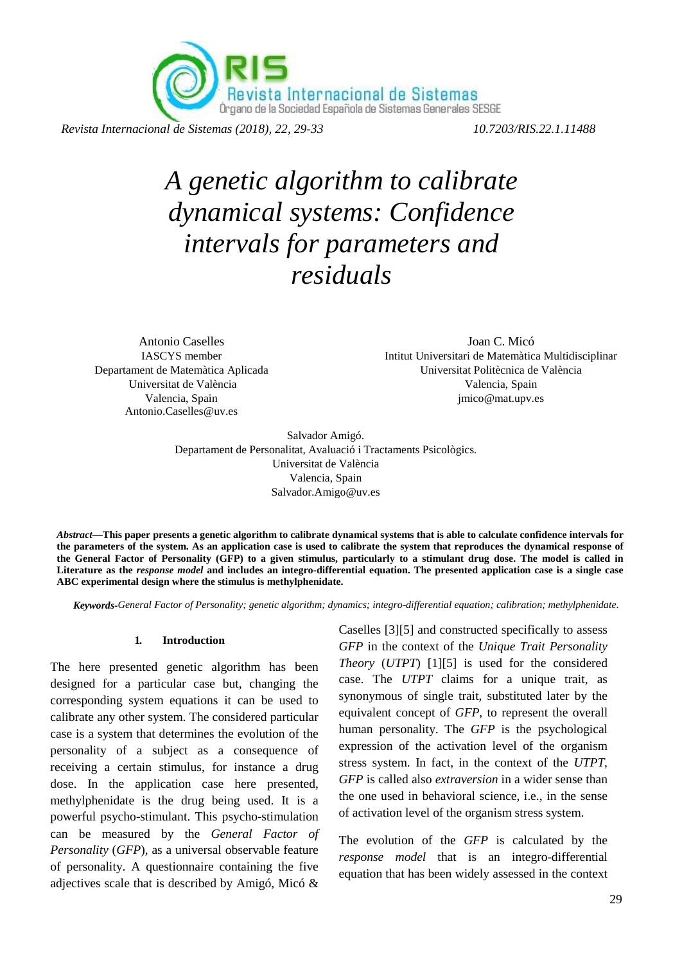Revista Internacional de Sistemas<br>Órgano de la Sociedad Española de Sistemas Generales SESGE

*Revista Internacional de Sistemas (2018), 22, 29-33 10.7203/RIS.22.1.11488*

# *A genetic algorithm to calibrate dynamical systems: Confidence intervals for parameters and residuals*

Antonio Caselles IASCYS member Departament de Matemàtica Aplicada Universitat de València Valencia, Spain Antonio.Caselles@uv.es

Joan C. Micó Intitut Universitari de Matemàtica Multidisciplinar Universitat Politècnica de València Valencia, Spain jmico@mat.upv.es

Salvador Amigó. Departament de Personalitat, Avaluació i Tractaments Psicològics. Universitat de València Valencia, Spain Salvador.Amigo@uv.es

*Abstract***—This paper presents a genetic algorithm to calibrate dynamical systems that is able to calculate confidence intervals for the parameters of the system. As an application case is used to calibrate the system that reproduces the dynamical response of the General Factor of Personality (GFP) to a given stimulus, particularly to a stimulant drug dose. The model is called in Literature as the** *response model* **and includes an integro-differential equation. The presented application case is a single case ABC experimental design where the stimulus is methylphenidate.** 

*Keywords-General Factor of Personality; genetic algorithm; dynamics; integro-differential equation; calibration; methylphenidate*.

#### **1. Introduction**

The here presented genetic algorithm has been designed for a particular case but, changing the corresponding system equations it can be used to calibrate any other system. The considered particular case is a system that determines the evolution of the personality of a subject as a consequence of receiving a certain stimulus, for instance a drug dose. In the application case here presented, methylphenidate is the drug being used. It is a powerful psycho-stimulant. This psycho-stimulation can be measured by the *General Factor of Personality* (*GFP*), as a universal observable feature of personality. A questionnaire containing the five adjectives scale that is described by Amigó, Micó & Caselles [3][5] and constructed specifically to assess *GFP* in the context of the *Unique Trait Personality Theory* (*UTPT*) [1][5] is used for the considered case. The *UTPT* claims for a unique trait, as synonymous of single trait, substituted later by the equivalent concept of *GFP*, to represent the overall human personality. The *GFP* is the psychological expression of the activation level of the organism stress system. In fact, in the context of the *UTPT*, *GFP* is called also *extraversion* in a wider sense than the one used in behavioral science, i.e., in the sense of activation level of the organism stress system.

The evolution of the *GFP* is calculated by the *response model* that is an integro-differential equation that has been widely assessed in the context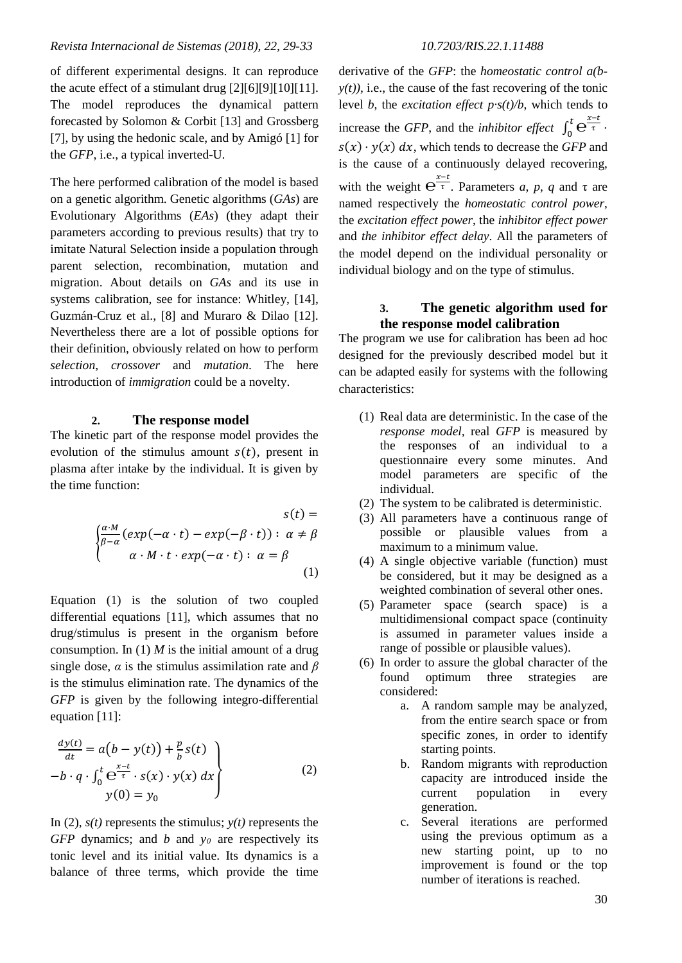## *Revista Internacional de Sistemas (2018), 22, 29-33 10.7203/RIS.22.1.11488*

of different experimental designs. It can reproduce the acute effect of a stimulant drug [2][6][9][10][11]. The model reproduces the dynamical pattern forecasted by Solomon & Corbit [13] and Grossberg [7], by using the hedonic scale, and by Amigó [1] for the *GFP*, i.e., a typical inverted-U.

The here performed calibration of the model is based on a genetic algorithm. Genetic algorithms (*GAs*) are Evolutionary Algorithms (*EAs*) (they adapt their parameters according to previous results) that try to imitate Natural Selection inside a population through parent selection, recombination, mutation and migration. About details on *GAs* and its use in systems calibration, see for instance: Whitley, [14], Guzmán-Cruz et al., [8] and Muraro & Dilao [12]. Nevertheless there are a lot of possible options for their definition, obviously related on how to perform *selection*, *crossover* and *mutation*. The here introduction of *immigration* could be a novelty.

#### **2. The response model**

The kinetic part of the response model provides the evolution of the stimulus amount  $s(t)$ , present in plasma after intake by the individual. It is given by the time function:

$$
s(t) =
$$
  

$$
\begin{cases} \frac{\alpha \cdot M}{\beta - \alpha} (exp(-\alpha \cdot t) - exp(-\beta \cdot t)) : \alpha \neq \beta \\ \alpha \cdot M \cdot t \cdot exp(-\alpha \cdot t) : \alpha = \beta \end{cases}
$$
  
(1)

Equation (1) is the solution of two coupled differential equations [11], which assumes that no drug/stimulus is present in the organism before consumption. In  $(1)$  *M* is the initial amount of a drug single dose, *α* is the stimulus assimilation rate and *β* is the stimulus elimination rate. The dynamics of the *GFP* is given by the following integro-differential equation [11]:

$$
\frac{dy(t)}{dt} = a(b - y(t)) + \frac{p}{b} s(t)
$$
  
-b · q ·  $\int_0^t e^{\frac{x-t}{\tau}} \cdot s(x) \cdot y(x) dx$   
y(0) = y<sub>0</sub> (2)

In (2),  $s(t)$  represents the stimulus;  $y(t)$  represents the *GFP* dynamics; and *b* and *y<sub>0</sub>* are respectively its tonic level and its initial value. Its dynamics is a balance of three terms, which provide the time

derivative of the *GFP*: the *homeostatic control a(b* $y(t)$ ), i.e., the cause of the fast recovering of the tonic level *b*, the *excitation effect p·s(t)/b*, which tends to increase the *GFP*, and the *inhibitor effect*  $\int_0^t e^{\frac{x-t}{\tau}}$ .  $s(x) \cdot y(x) dx$ , which tends to decrease the *GFP* and is the cause of a continuously delayed recovering, with the weight  $e^{\frac{x-t}{\tau}}$ . Parameters *a*, *p*, *q* and  $\tau$  are named respectively the *homeostatic control power*, the *excitation effect power*, the *inhibitor effect power* and *the inhibitor effect delay*. All the parameters of the model depend on the individual personality or individual biology and on the type of stimulus.

#### **3. The genetic algorithm used for the response model calibration**

The program we use for calibration has been ad hoc designed for the previously described model but it can be adapted easily for systems with the following characteristics:

- (1) Real data are deterministic. In the case of the *response model,* real *GFP* is measured by the responses of an individual to a questionnaire every some minutes. And model parameters are specific of the individual.
- (2) The system to be calibrated is deterministic.
- (3) All parameters have a continuous range of possible or plausible values from a maximum to a minimum value.
- (4) A single objective variable (function) must be considered, but it may be designed as a weighted combination of several other ones.
- (5) Parameter space (search space) is a multidimensional compact space (continuity is assumed in parameter values inside a range of possible or plausible values).
- (6) In order to assure the global character of the found optimum three strategies are considered:
	- a. A random sample may be analyzed, from the entire search space or from specific zones, in order to identify starting points.
	- b. Random migrants with reproduction capacity are introduced inside the current population in every generation.
	- c. Several iterations are performed using the previous optimum as a new starting point, up to no improvement is found or the top number of iterations is reached.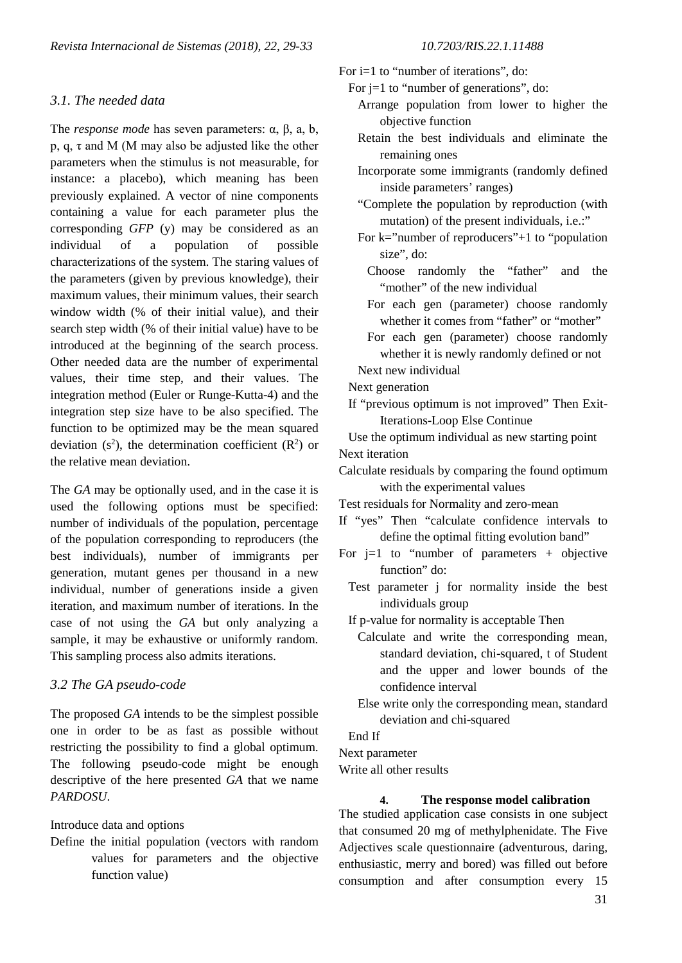# *3.1. The needed data*

The *response mode* has seven parameters: α, β, a, b, p, q,  $\tau$  and M (M may also be adjusted like the other parameters when the stimulus is not measurable, for instance: a placebo), which meaning has been previously explained. A vector of nine components containing a value for each parameter plus the corresponding *GFP* (y) may be considered as an individual of a population of possible characterizations of the system. The staring values of the parameters (given by previous knowledge), their maximum values, their minimum values, their search window width (% of their initial value), and their search step width (% of their initial value) have to be introduced at the beginning of the search process. Other needed data are the number of experimental values, their time step, and their values. The integration method (Euler or Runge-Kutta-4) and the integration step size have to be also specified. The function to be optimized may be the mean squared deviation (s<sup>2</sup>), the determination coefficient ( $\mathbb{R}^2$ ) or the relative mean deviation.

The *GA* may be optionally used, and in the case it is used the following options must be specified: number of individuals of the population, percentage of the population corresponding to reproducers (the best individuals), number of immigrants per generation, mutant genes per thousand in a new individual, number of generations inside a given iteration, and maximum number of iterations. In the case of not using the *GA* but only analyzing a sample, it may be exhaustive or uniformly random. This sampling process also admits iterations.

## *3.2 The GA pseudo-code*

The proposed *GA* intends to be the simplest possible one in order to be as fast as possible without restricting the possibility to find a global optimum. The following pseudo-code might be enough descriptive of the here presented *GA* that we name *PARDOSU*.

## Introduce data and options

Define the initial population (vectors with random values for parameters and the objective function value)

# For i=1 to "number of iterations", do:

For  $j=1$  to "number of generations", do:

- Arrange population from lower to higher the objective function
- Retain the best individuals and eliminate the remaining ones
- Incorporate some immigrants (randomly defined inside parameters' ranges)
- "Complete the population by reproduction (with mutation) of the present individuals, i.e.:"
- For  $k=$ "number of reproducers" $+1$  to "population" size", do:
	- Choose randomly the "father" and the "mother" of the new individual
	- For each gen (parameter) choose randomly whether it comes from "father" or "mother"
	- For each gen (parameter) choose randomly whether it is newly randomly defined or not
- Next new individual

Next generation

 If "previous optimum is not improved" Then Exit-Iterations-Loop Else Continue

 Use the optimum individual as new starting point Next iteration

Calculate residuals by comparing the found optimum with the experimental values

Test residuals for Normality and zero-mean

- If "yes" Then "calculate confidence intervals to define the optimal fitting evolution band"
- For  $i=1$  to "number of parameters + objective function" do:
	- Test parameter j for normality inside the best individuals group

If p-value for normality is acceptable Then

- Calculate and write the corresponding mean, standard deviation, chi-squared, t of Student and the upper and lower bounds of the confidence interval
- Else write only the corresponding mean, standard deviation and chi-squared

End If

Next parameter

Write all other results

#### **4. The response model calibration**

The studied application case consists in one subject that consumed 20 mg of methylphenidate. The Five Adjectives scale questionnaire (adventurous, daring, enthusiastic, merry and bored) was filled out before consumption and after consumption every 15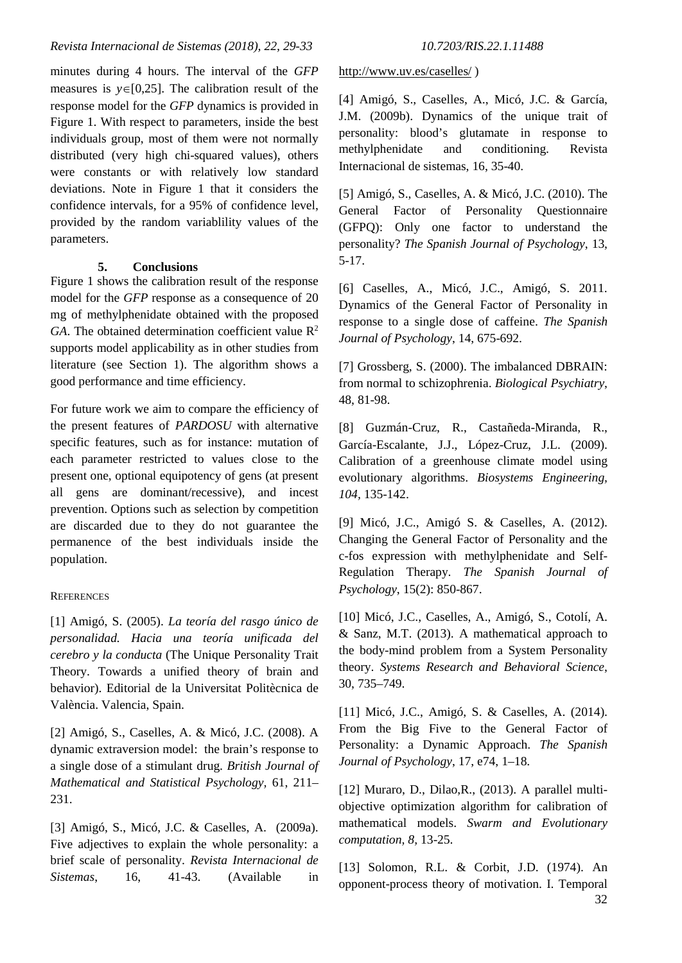minutes during 4 hours. The interval of the *GFP* measures is *y*∈[0,25]. The calibration result of the response model for the *GFP* dynamics is provided in Figure 1. With respect to parameters, inside the best individuals group, most of them were not normally distributed (very high chi-squared values), others were constants or with relatively low standard deviations. Note in Figure 1 that it considers the confidence intervals, for a 95% of confidence level, provided by the random variablility values of the parameters.

# **5. Conclusions**

Figure 1 shows the calibration result of the response model for the *GFP* response as a consequence of 20 mg of methylphenidate obtained with the proposed  $GA$ . The obtained determination coefficient value  $R^2$ supports model applicability as in other studies from literature (see Section 1). The algorithm shows a good performance and time efficiency.

For future work we aim to compare the efficiency of the present features of *PARDOSU* with alternative specific features, such as for instance: mutation of each parameter restricted to values close to the present one, optional equipotency of gens (at present all gens are dominant/recessive), and incest prevention. Options such as selection by competition are discarded due to they do not guarantee the permanence of the best individuals inside the population.

## **REFERENCES**

[1] Amigó, S. (2005). *La teoría del rasgo único de personalidad. Hacia una teoría unificada del cerebro y la conducta* (The Unique Personality Trait Theory. Towards a unified theory of brain and behavior). Editorial de la Universitat Politècnica de València. Valencia, Spain.

[2] Amigó, S., Caselles, A. & Micó, J.C. (2008). A dynamic extraversion model: the brain's response to a single dose of a stimulant drug. *British Journal of Mathematical and Statistical Psychology,* 61, 211– 231.

[3] Amigó, S., Micó, J.C. & Caselles, A. (2009a). Five adjectives to explain the whole personality: a brief scale of personality. *Revista Internacional de Sistemas*, 16, 41-43. (Available in

## <http://www.uv.es/caselles/> )

[4] Amigó, S., Caselles, A., Micó, J.C. & García, J.M. (2009b). Dynamics of the unique trait of personality: blood's glutamate in response to methylphenidate and conditioning. Revista Internacional de sistemas, 16, 35-40.

[5] Amigó, S., Caselles, A. & Micó, J.C. (2010). The General Factor of Personality Questionnaire (GFPQ): Only one factor to understand the personality? *The Spanish Journal of Psychology*, 13, 5-17.

[6] Caselles, A., Micó, J.C., Amigó, S. 2011. Dynamics of the General Factor of Personality in response to a single dose of caffeine. *The Spanish Journal of Psychology*, 14, 675-692.

[7] Grossberg, S. (2000). The imbalanced DBRAIN: from normal to schizophrenia. *Biological Psychiatry*, 48, 81-98.

[8] Guzmán-Cruz, R., Castañeda-Miranda, R., García-Escalante, J.J., López-Cruz, J.L. (2009). Calibration of a greenhouse climate model using evolutionary algorithms. *Biosystems Engineering, 104,* 135-142.

[9] Micó, J.C., Amigó S. & Caselles, A. (2012). Changing the General Factor of Personality and the c-fos expression with methylphenidate and Self-Regulation Therapy. *The Spanish Journal of Psychology*, 15(2): 850-867.

[10] Micó, J.C., Caselles, A., Amigó, S., Cotolí, A. & Sanz, M.T. (2013). A mathematical approach to the body-mind problem from a System Personality theory. *Systems Research and Behavioral Science*, 30, 735–749.

[11] Micó, J.C., Amigó, S. & Caselles, A. (2014). From the Big Five to the General Factor of Personality: a Dynamic Approach. *The Spanish Journal of Psychology*, 17, e74, 1–18.

[12] Muraro, D., Dilao, R., (2013). A parallel multiobjective optimization algorithm for calibration of mathematical models. *Swarm and Evolutionary computation, 8,* 13-25.

32 [13] Solomon, R.L. & Corbit, J.D. (1974). An opponent-process theory of motivation. I. Temporal